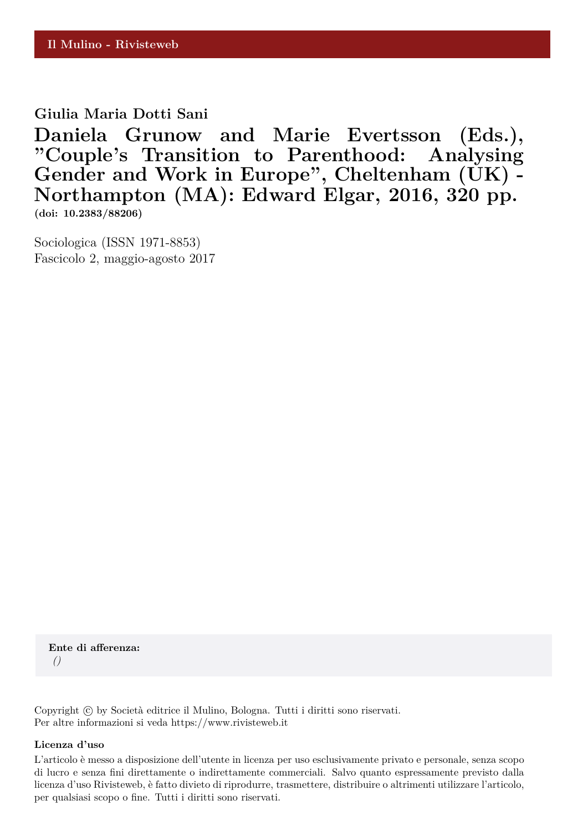# **Giulia Maria Dotti Sani**

**Daniela Grunow and Marie Evertsson (Eds.), "Couple's Transition to Parenthood: Analysing** Gender and Work in Europe", Cheltenham (UK) -**Northampton (MA): Edward Elgar, 2016, 320 pp. (doi: 10.2383/88206)**

Sociologica (ISSN 1971-8853) Fascicolo 2, maggio-agosto 2017

**Ente di afferenza:** *()*

Copyright © by Società editrice il Mulino, Bologna. Tutti i diritti sono riservati. Per altre informazioni si veda https://www.rivisteweb.it

#### **Licenza d'uso**

L'articolo è messo a disposizione dell'utente in licenza per uso esclusivamente privato e personale, senza scopo di lucro e senza fini direttamente o indirettamente commerciali. Salvo quanto espressamente previsto dalla licenza d'uso Rivisteweb, è fatto divieto di riprodurre, trasmettere, distribuire o altrimenti utilizzare l'articolo, per qualsiasi scopo o fine. Tutti i diritti sono riservati.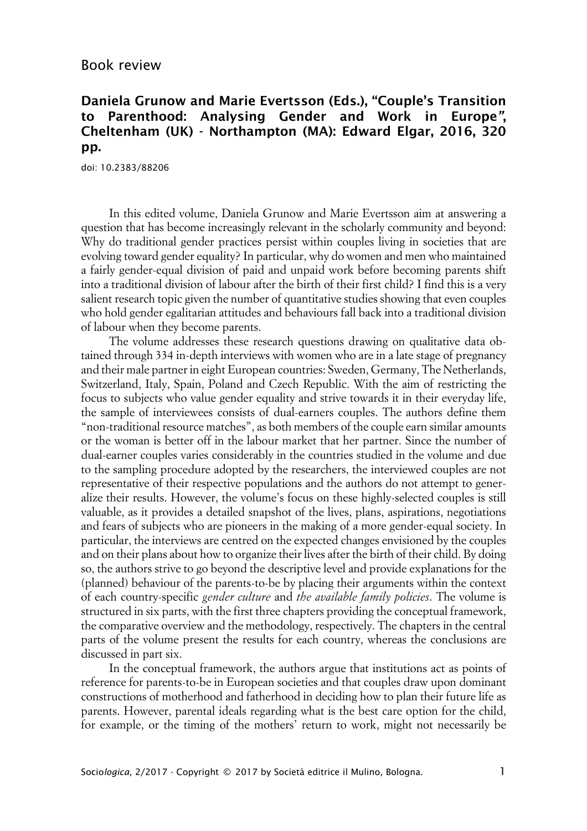## Book review

# **Daniela Grunow and Marie Evertsson (Eds.), "Couple's Transition to Parenthood: Analysing Gender and Work in Europe", Cheltenham (UK) - Northampton (MA): Edward Elgar, 2016, 320 pp.**

doi: 10.2383/88206

In this edited volume, Daniela Grunow and Marie Evertsson aim at answering a question that has become increasingly relevant in the scholarly community and beyond: Why do traditional gender practices persist within couples living in societies that are evolving toward gender equality? In particular, why do women and men who maintained a fairly gender-equal division of paid and unpaid work before becoming parents shift into a traditional division of labour after the birth of their first child? I find this is a very salient research topic given the number of quantitative studies showing that even couples who hold gender egalitarian attitudes and behaviours fall back into a traditional division of labour when they become parents.

The volume addresses these research questions drawing on qualitative data obtained through 334 in-depth interviews with women who are in a late stage of pregnancy and their male partner in eight European countries: Sweden, Germany, The Netherlands, Switzerland, Italy, Spain, Poland and Czech Republic. With the aim of restricting the focus to subjects who value gender equality and strive towards it in their everyday life, the sample of interviewees consists of dual-earners couples. The authors define them "non-traditional resource matches", as both members of the couple earn similar amounts or the woman is better off in the labour market that her partner. Since the number of dual-earner couples varies considerably in the countries studied in the volume and due to the sampling procedure adopted by the researchers, the interviewed couples are not representative of their respective populations and the authors do not attempt to generalize their results. However, the volume's focus on these highly-selected couples is still valuable, as it provides a detailed snapshot of the lives, plans, aspirations, negotiations and fears of subjects who are pioneers in the making of a more gender-equal society. In particular, the interviews are centred on the expected changes envisioned by the couples and on their plans about how to organize their lives after the birth of their child. By doing so, the authors strive to go beyond the descriptive level and provide explanations for the (planned) behaviour of the parents-to-be by placing their arguments within the context of each country-specific *gender culture* and *the available family policies*. The volume is structured in six parts, with the first three chapters providing the conceptual framework, the comparative overview and the methodology, respectively. The chapters in the central parts of the volume present the results for each country, whereas the conclusions are discussed in part six.

In the conceptual framework, the authors argue that institutions act as points of reference for parents-to-be in European societies and that couples draw upon dominant constructions of motherhood and fatherhood in deciding how to plan their future life as parents. However, parental ideals regarding what is the best care option for the child, for example, or the timing of the mothers' return to work, might not necessarily be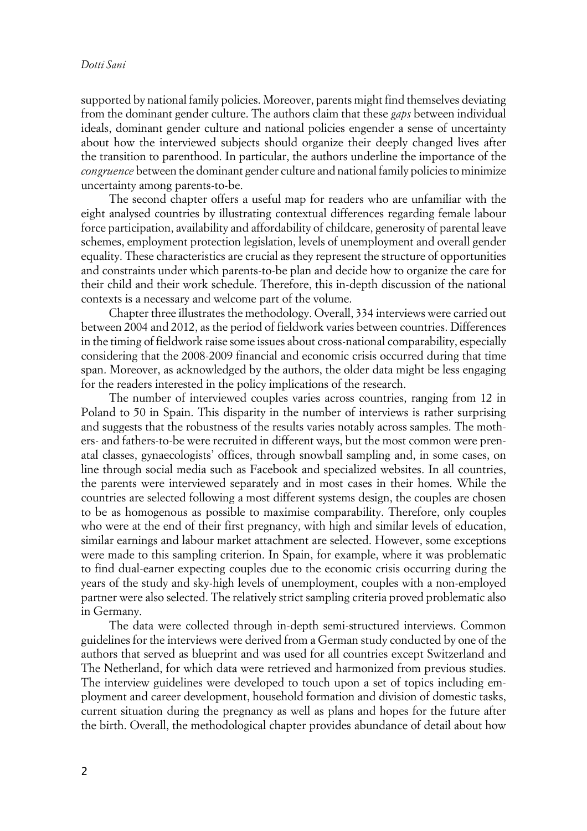### *Dotti Sani*

supported by national family policies. Moreover, parents might find themselves deviating from the dominant gender culture. The authors claim that these *gaps* between individual ideals, dominant gender culture and national policies engender a sense of uncertainty about how the interviewed subjects should organize their deeply changed lives after the transition to parenthood. In particular, the authors underline the importance of the *congruence* between the dominant gender culture and national family policies to minimize uncertainty among parents-to-be.

The second chapter offers a useful map for readers who are unfamiliar with the eight analysed countries by illustrating contextual differences regarding female labour force participation, availability and affordability of childcare, generosity of parental leave schemes, employment protection legislation, levels of unemployment and overall gender equality. These characteristics are crucial as they represent the structure of opportunities and constraints under which parents-to-be plan and decide how to organize the care for their child and their work schedule. Therefore, this in-depth discussion of the national contexts is a necessary and welcome part of the volume.

Chapter three illustrates the methodology. Overall, 334 interviews were carried out between 2004 and 2012, as the period of fieldwork varies between countries. Differences in the timing of fieldwork raise some issues about cross-national comparability, especially considering that the 2008-2009 financial and economic crisis occurred during that time span. Moreover, as acknowledged by the authors, the older data might be less engaging for the readers interested in the policy implications of the research.

The number of interviewed couples varies across countries, ranging from 12 in Poland to 50 in Spain. This disparity in the number of interviews is rather surprising and suggests that the robustness of the results varies notably across samples. The mothers- and fathers-to-be were recruited in different ways, but the most common were prenatal classes, gynaecologists' offices, through snowball sampling and, in some cases, on line through social media such as Facebook and specialized websites. In all countries, the parents were interviewed separately and in most cases in their homes. While the countries are selected following a most different systems design, the couples are chosen to be as homogenous as possible to maximise comparability. Therefore, only couples who were at the end of their first pregnancy, with high and similar levels of education, similar earnings and labour market attachment are selected. However, some exceptions were made to this sampling criterion. In Spain, for example, where it was problematic to find dual-earner expecting couples due to the economic crisis occurring during the years of the study and sky-high levels of unemployment, couples with a non-employed partner were also selected. The relatively strict sampling criteria proved problematic also in Germany.

The data were collected through in-depth semi-structured interviews. Common guidelines for the interviews were derived from a German study conducted by one of the authors that served as blueprint and was used for all countries except Switzerland and The Netherland, for which data were retrieved and harmonized from previous studies. The interview guidelines were developed to touch upon a set of topics including employment and career development, household formation and division of domestic tasks, current situation during the pregnancy as well as plans and hopes for the future after the birth. Overall, the methodological chapter provides abundance of detail about how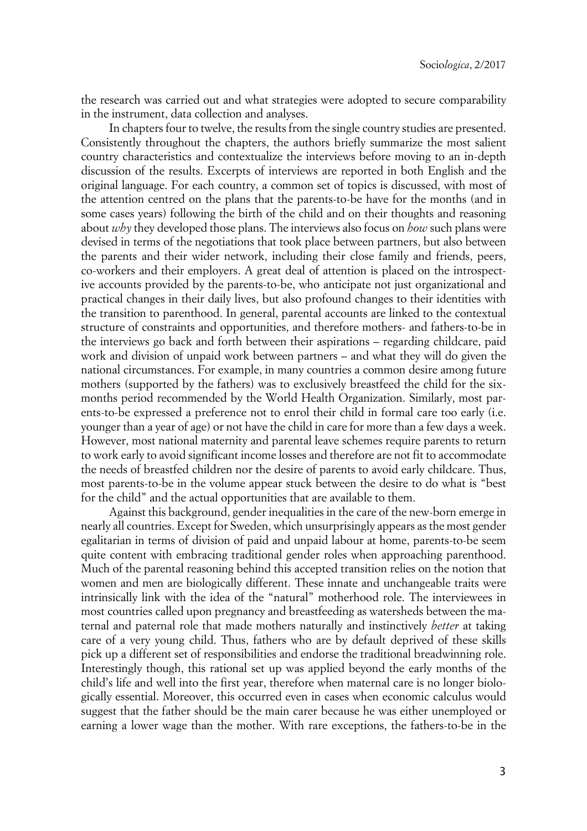the research was carried out and what strategies were adopted to secure comparability in the instrument, data collection and analyses.

In chapters four to twelve, the results from the single country studies are presented. Consistently throughout the chapters, the authors briefly summarize the most salient country characteristics and contextualize the interviews before moving to an in-depth discussion of the results. Excerpts of interviews are reported in both English and the original language. For each country, a common set of topics is discussed, with most of the attention centred on the plans that the parents-to-be have for the months (and in some cases years) following the birth of the child and on their thoughts and reasoning about *why* they developed those plans. The interviews also focus on *how* such plans were devised in terms of the negotiations that took place between partners, but also between the parents and their wider network, including their close family and friends, peers, co-workers and their employers. A great deal of attention is placed on the introspective accounts provided by the parents-to-be, who anticipate not just organizational and practical changes in their daily lives, but also profound changes to their identities with the transition to parenthood. In general, parental accounts are linked to the contextual structure of constraints and opportunities, and therefore mothers- and fathers-to-be in the interviews go back and forth between their aspirations – regarding childcare, paid work and division of unpaid work between partners – and what they will do given the national circumstances. For example, in many countries a common desire among future mothers (supported by the fathers) was to exclusively breastfeed the child for the sixmonths period recommended by the World Health Organization. Similarly, most parents-to-be expressed a preference not to enrol their child in formal care too early (i.e. younger than a year of age) or not have the child in care for more than a few days a week. However, most national maternity and parental leave schemes require parents to return to work early to avoid significant income losses and therefore are not fit to accommodate the needs of breastfed children nor the desire of parents to avoid early childcare. Thus, most parents-to-be in the volume appear stuck between the desire to do what is "best for the child" and the actual opportunities that are available to them.

Against this background, gender inequalities in the care of the new-born emerge in nearly all countries. Except for Sweden, which unsurprisingly appears as the most gender egalitarian in terms of division of paid and unpaid labour at home, parents-to-be seem quite content with embracing traditional gender roles when approaching parenthood. Much of the parental reasoning behind this accepted transition relies on the notion that women and men are biologically different. These innate and unchangeable traits were intrinsically link with the idea of the "natural" motherhood role. The interviewees in most countries called upon pregnancy and breastfeeding as watersheds between the maternal and paternal role that made mothers naturally and instinctively *better* at taking care of a very young child. Thus, fathers who are by default deprived of these skills pick up a different set of responsibilities and endorse the traditional breadwinning role. Interestingly though, this rational set up was applied beyond the early months of the child's life and well into the first year, therefore when maternal care is no longer biologically essential. Moreover, this occurred even in cases when economic calculus would suggest that the father should be the main carer because he was either unemployed or earning a lower wage than the mother. With rare exceptions, the fathers-to-be in the